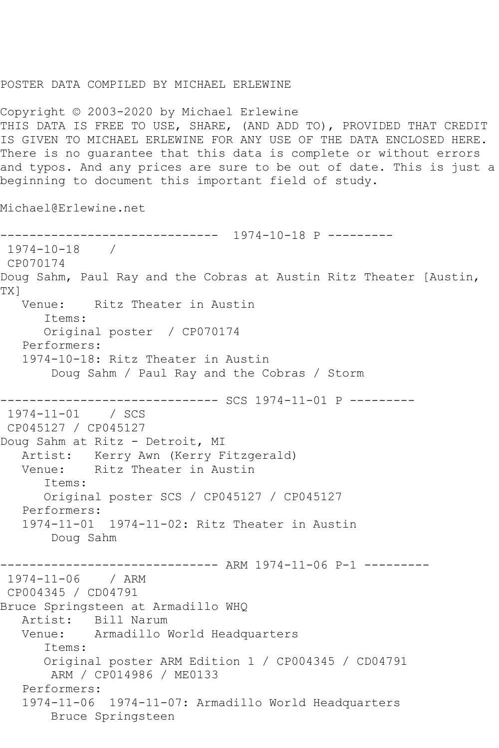## POSTER DATA COMPILED BY MICHAEL ERLEWINE

Copyright © 2003-2020 by Michael Erlewine THIS DATA IS FREE TO USE, SHARE, (AND ADD TO), PROVIDED THAT CREDIT IS GIVEN TO MICHAEL ERLEWINE FOR ANY USE OF THE DATA ENCLOSED HERE. There is no guarantee that this data is complete or without errors and typos. And any prices are sure to be out of date. This is just a beginning to document this important field of study.

Michael@Erlewine.net

```
------------------------------ 1974-10-18 P ---------
1974 - 10 - 18CP070174
Doug Sahm, Paul Ray and the Cobras at Austin Ritz Theater [Austin, 
TX]
   Venue: Ritz Theater in Austin
      Items:
      Original poster / CP070174
   Performers:
   1974-10-18: Ritz Theater in Austin
        Doug Sahm / Paul Ray and the Cobras / Storm
------------------------------ SCS 1974-11-01 P ---------
1974-11-01 / SCS 
CP045127 / CP045127
Doug Sahm at Ritz - Detroit, MI
   Artist: Kerry Awn (Kerry Fitzgerald)
   Venue: Ritz Theater in Austin
      Items:
      Original poster SCS / CP045127 / CP045127
   Performers:
   1974-11-01 1974-11-02: Ritz Theater in Austin
       Doug Sahm
------------------------------ ARM 1974-11-06 P-1 ---------
1974-11-06 / ARM 
CP004345 / CD04791
Bruce Springsteen at Armadillo WHQ
   Artist: Bill Narum
   Venue: Armadillo World Headquarters
      Items:
      Original poster ARM Edition 1 / CP004345 / CD04791
       ARM / CP014986 / ME0133
   Performers:
   1974-11-06 1974-11-07: Armadillo World Headquarters
       Bruce Springsteen
```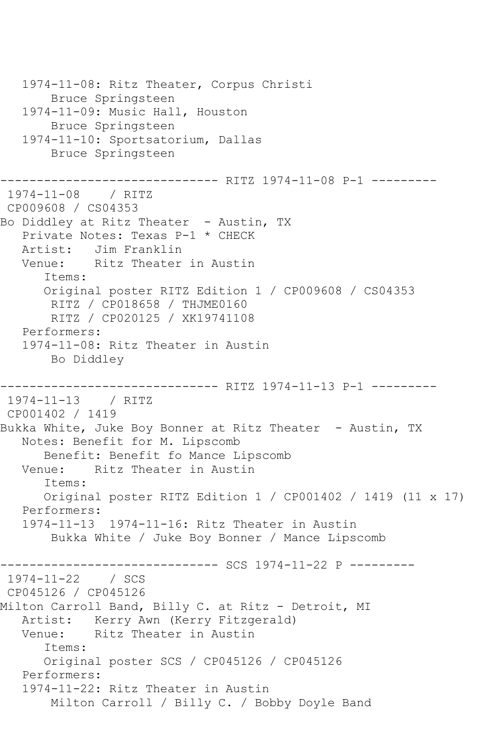```
 1974-11-08: Ritz Theater, Corpus Christi
        Bruce Springsteen
   1974-11-09: Music Hall, Houston
        Bruce Springsteen
   1974-11-10: Sportsatorium, Dallas
        Bruce Springsteen
------------------------------ RITZ 1974-11-08 P-1 ---------
1974-11-08 / RITZ 
CP009608 / CS04353
Bo Diddley at Ritz Theater - Austin, TX
   Private Notes: Texas P-1 * CHECK
   Artist: Jim Franklin
   Venue: Ritz Theater in Austin
       Items:
       Original poster RITZ Edition 1 / CP009608 / CS04353
        RITZ / CP018658 / THJME0160
       RITZ / CP020125 / XK19741108
   Performers:
   1974-11-08: Ritz Theater in Austin
       Bo Diddley
                ------------------------------ RITZ 1974-11-13 P-1 ---------
1974-11-13 / RITZ 
CP001402 / 1419
Bukka White, Juke Boy Bonner at Ritz Theater - Austin, TX
   Notes: Benefit for M. Lipscomb
       Benefit: Benefit fo Mance Lipscomb
   Venue: Ritz Theater in Austin
       Items:
      Original poster RITZ Edition 1 / CP001402 / 1419 (11 x 17)
   Performers:
   1974-11-13 1974-11-16: Ritz Theater in Austin
        Bukka White / Juke Boy Bonner / Mance Lipscomb
------------------------------ SCS 1974-11-22 P ---------
1974-11-22 / SCS 
CP045126 / CP045126
Milton Carroll Band, Billy C. at Ritz - Detroit, MI
   Artist: Kerry Awn (Kerry Fitzgerald)
   Venue: Ritz Theater in Austin
       Items:
       Original poster SCS / CP045126 / CP045126
   Performers:
   1974-11-22: Ritz Theater in Austin
        Milton Carroll / Billy C. / Bobby Doyle Band
```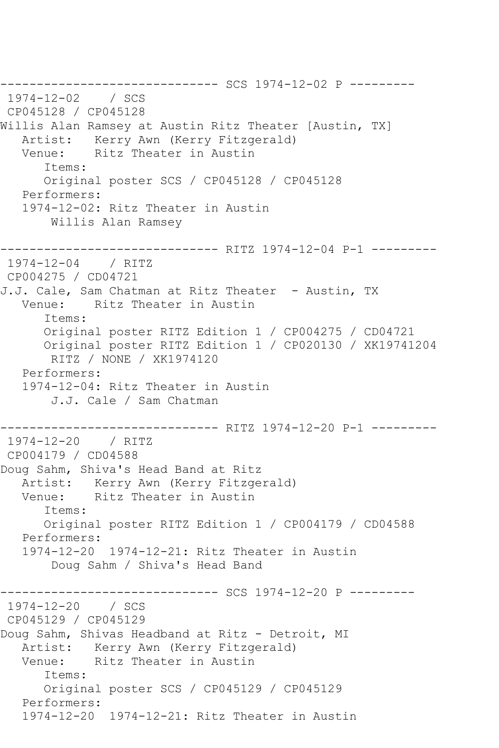------------------------------ SCS 1974-12-02 P --------- 1974-12-02 / SCS CP045128 / CP045128 Willis Alan Ramsey at Austin Ritz Theater [Austin, TX] Artist: Kerry Awn (Kerry Fitzgerald) Venue: Ritz Theater in Austin Items: Original poster SCS / CP045128 / CP045128 Performers: 1974-12-02: Ritz Theater in Austin Willis Alan Ramsey ------------------------------ RITZ 1974-12-04 P-1 --------- 1974-12-04 / RITZ CP004275 / CD04721 J.J. Cale, Sam Chatman at Ritz Theater - Austin, TX Venue: Ritz Theater in Austin Items: Original poster RITZ Edition 1 / CP004275 / CD04721 Original poster RITZ Edition 1 / CP020130 / XK19741204 RITZ / NONE / XK1974120 Performers: 1974-12-04: Ritz Theater in Austin J.J. Cale / Sam Chatman ------------- RITZ 1974-12-20 P-1 ---------1974-12-20 / RITZ CP004179 / CD04588 Doug Sahm, Shiva's Head Band at Ritz Artist: Kerry Awn (Kerry Fitzgerald)<br>Venue: Ritz Theater in Austin Ritz Theater in Austin Items: Original poster RITZ Edition 1 / CP004179 / CD04588 Performers: 1974-12-20 1974-12-21: Ritz Theater in Austin Doug Sahm / Shiva's Head Band ----------- SCS 1974-12-20 P ----------1974-12-20 / SCS CP045129 / CP045129 Doug Sahm, Shivas Headband at Ritz - Detroit, MI Artist: Kerry Awn (Kerry Fitzgerald) Venue: Ritz Theater in Austin Items: Original poster SCS / CP045129 / CP045129 Performers: 1974-12-20 1974-12-21: Ritz Theater in Austin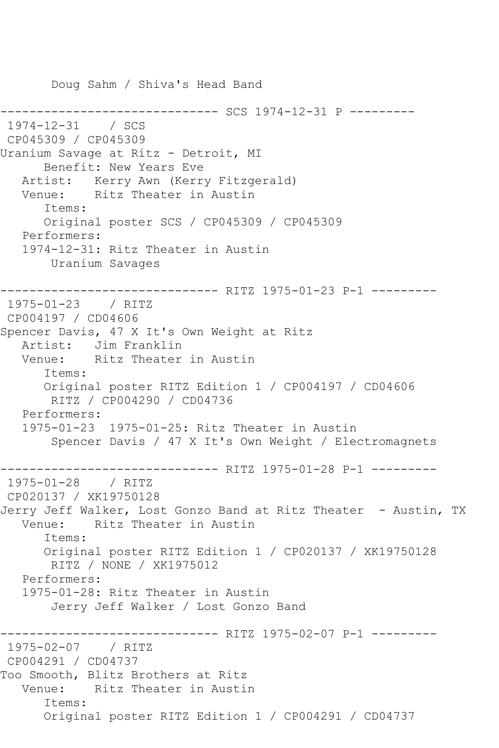Doug Sahm / Shiva's Head Band ------------------------------ SCS 1974-12-31 P --------- 1974-12-31 / SCS CP045309 / CP045309 Uranium Savage at Ritz - Detroit, MI Benefit: New Years Eve Artist: Kerry Awn (Kerry Fitzgerald) Venue: Ritz Theater in Austin Items: Original poster SCS / CP045309 / CP045309 Performers: 1974-12-31: Ritz Theater in Austin Uranium Savages ------------------------------ RITZ 1975-01-23 P-1 --------- 1975-01-23 / RITZ CP004197 / CD04606 Spencer Davis, 47 X It's Own Weight at Ritz Artist: Jim Franklin<br>Venue: Ritz Theater Ritz Theater in Austin Items: Original poster RITZ Edition 1 / CP004197 / CD04606 RITZ / CP004290 / CD04736 Performers: 1975-01-23 1975-01-25: Ritz Theater in Austin Spencer Davis / 47 X It's Own Weight / Electromagnets ------------- RITZ 1975-01-28 P-1 ---------1975-01-28 / RITZ CP020137 / XK19750128 Jerry Jeff Walker, Lost Gonzo Band at Ritz Theater - Austin, TX Venue: Ritz Theater in Austin Items: Original poster RITZ Edition 1 / CP020137 / XK19750128 RITZ / NONE / XK1975012 Performers: 1975-01-28: Ritz Theater in Austin Jerry Jeff Walker / Lost Gonzo Band ---------- RITZ 1975-02-07 P-1 ---------1975-02-07 / RITZ CP004291 / CD04737 Too Smooth, Blitz Brothers at Ritz Venue: Ritz Theater in Austin Items: Original poster RITZ Edition 1 / CP004291 / CD04737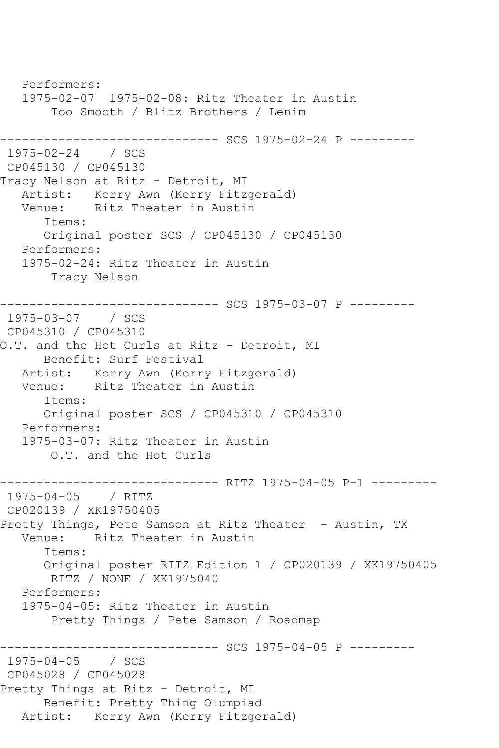Performers: 1975-02-07 1975-02-08: Ritz Theater in Austin Too Smooth / Blitz Brothers / Lenim ------------------------------ SCS 1975-02-24 P --------- 1975-02-24 / SCS CP045130 / CP045130 Tracy Nelson at Ritz - Detroit, MI Artist: Kerry Awn (Kerry Fitzgerald) Venue: Ritz Theater in Austin Items: Original poster SCS / CP045130 / CP045130 Performers: 1975-02-24: Ritz Theater in Austin Tracy Nelson ------------------------------ SCS 1975-03-07 P --------- 1975-03-07 / SCS CP045310 / CP045310 O.T. and the Hot Curls at Ritz - Detroit, MI Benefit: Surf Festival Artist: Kerry Awn (Kerry Fitzgerald) Venue: Ritz Theater in Austin Items: Original poster SCS / CP045310 / CP045310 Performers: 1975-03-07: Ritz Theater in Austin O.T. and the Hot Curls ------------------------------ RITZ 1975-04-05 P-1 --------- 1975-04-05 / RITZ CP020139 / XK19750405 Pretty Things, Pete Samson at Ritz Theater - Austin, TX<br>Venue: Ritz Theater in Austin Ritz Theater in Austin Items: Original poster RITZ Edition 1 / CP020139 / XK19750405 RITZ / NONE / XK1975040 Performers: 1975-04-05: Ritz Theater in Austin Pretty Things / Pete Samson / Roadmap --------------- SCS 1975-04-05 P ---------1975-04-05 / SCS CP045028 / CP045028 Pretty Things at Ritz - Detroit, MI Benefit: Pretty Thing Olumpiad Artist: Kerry Awn (Kerry Fitzgerald)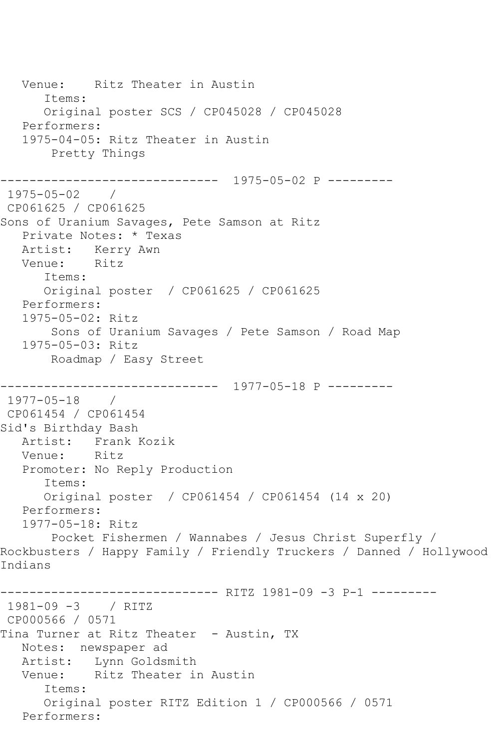```
 Venue: Ritz Theater in Austin
       Items:
       Original poster SCS / CP045028 / CP045028
   Performers:
   1975-04-05: Ritz Theater in Austin
        Pretty Things
------------------------------ 1975-05-02 P ---------
1975-05-02 / 
CP061625 / CP061625
Sons of Uranium Savages, Pete Samson at Ritz
   Private Notes: * Texas
   Artist: Kerry Awn
   Venue: Ritz
       Items:
       Original poster / CP061625 / CP061625
   Performers:
   1975-05-02: Ritz
        Sons of Uranium Savages / Pete Samson / Road Map
   1975-05-03: Ritz
       Roadmap / Easy Street
        ------------------------------ 1977-05-18 P ---------
1977-05-18 / 
CP061454 / CP061454
Sid's Birthday Bash
  Artist: Frank Kozik<br>Venue: Ritz
  Venue:
   Promoter: No Reply Production
       Items:
      Original poster / CP061454 / CP061454 (14 x 20)
   Performers:
   1977-05-18: Ritz
       Pocket Fishermen / Wannabes / Jesus Christ Superfly / 
Rockbusters / Happy Family / Friendly Truckers / Danned / Hollywood 
Indians
                     ---------- RITZ 1981-09 -3 P-1 ---------
1981-09 -3 / RITZ 
CP000566 / 0571
Tina Turner at Ritz Theater - Austin, TX
   Notes: newspaper ad
   Artist: Lynn Goldsmith
   Venue: Ritz Theater in Austin
       Items:
       Original poster RITZ Edition 1 / CP000566 / 0571
   Performers:
```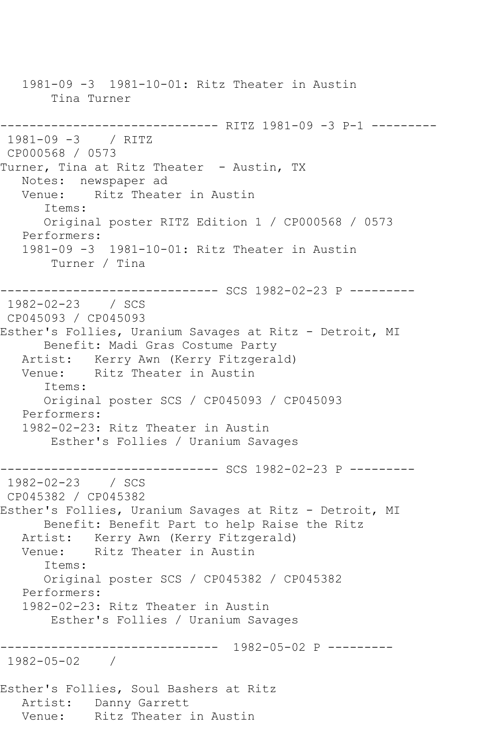1981-09 -3 1981-10-01: Ritz Theater in Austin Tina Turner ------------------------------ RITZ 1981-09 -3 P-1 --------- 1981-09 -3 / RITZ CP000568 / 0573 Turner, Tina at Ritz Theater - Austin, TX Notes: newspaper ad Venue: Ritz Theater in Austin Items: Original poster RITZ Edition 1 / CP000568 / 0573 Performers: 1981-09 -3 1981-10-01: Ritz Theater in Austin Turner / Tina ------------------------------ SCS 1982-02-23 P --------- 1982-02-23 / SCS CP045093 / CP045093 Esther's Follies, Uranium Savages at Ritz - Detroit, MI Benefit: Madi Gras Costume Party Artist: Kerry Awn (Kerry Fitzgerald) Venue: Ritz Theater in Austin Items: Original poster SCS / CP045093 / CP045093 Performers: 1982-02-23: Ritz Theater in Austin Esther's Follies / Uranium Savages ------------------------------ SCS 1982-02-23 P --------- 1982-02-23 / SCS CP045382 / CP045382 Esther's Follies, Uranium Savages at Ritz - Detroit, MI Benefit: Benefit Part to help Raise the Ritz Artist: Kerry Awn (Kerry Fitzgerald) Venue: Ritz Theater in Austin Items: Original poster SCS / CP045382 / CP045382 Performers: 1982-02-23: Ritz Theater in Austin Esther's Follies / Uranium Savages ------------------------------ 1982-05-02 P --------- 1982-05-02 / Esther's Follies, Soul Bashers at Ritz Artist: Danny Garrett<br>Venue: Ritz Theater Ritz Theater in Austin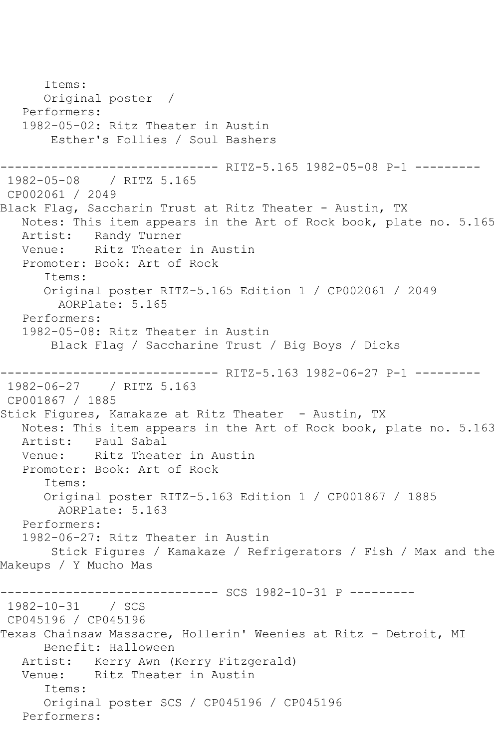Items: Original poster / Performers: 1982-05-02: Ritz Theater in Austin Esther's Follies / Soul Bashers ------------------------------ RITZ-5.165 1982-05-08 P-1 --------- 1982-05-08 / RITZ 5.165 CP002061 / 2049 Black Flag, Saccharin Trust at Ritz Theater - Austin, TX Notes: This item appears in the Art of Rock book, plate no. 5.165 Artist: Randy Turner<br>Venue: Ritz Theater Ritz Theater in Austin Promoter: Book: Art of Rock Items: Original poster RITZ-5.165 Edition 1 / CP002061 / 2049 AORPlate: 5.165 Performers: 1982-05-08: Ritz Theater in Austin Black Flag / Saccharine Trust / Big Boys / Dicks -------------- RITZ-5.163 1982-06-27 P-1 ---------1982-06-27 / RITZ 5.163 CP001867 / 1885 Stick Figures, Kamakaze at Ritz Theater - Austin, TX Notes: This item appears in the Art of Rock book, plate no. 5.163<br>Artist: Paul Sabal Paul Sabal Venue: Ritz Theater in Austin Promoter: Book: Art of Rock Items: Original poster RITZ-5.163 Edition 1 / CP001867 / 1885 AORPlate: 5.163 Performers: 1982-06-27: Ritz Theater in Austin Stick Figures / Kamakaze / Refrigerators / Fish / Max and the Makeups / Y Mucho Mas ------------------------------ SCS 1982-10-31 P --------- 1982-10-31 CP045196 / CP045196 Texas Chainsaw Massacre, Hollerin' Weenies at Ritz - Detroit, MI Benefit: Halloween Artist: Kerry Awn (Kerry Fitzgerald) Venue: Ritz Theater in Austin Items: Original poster SCS / CP045196 / CP045196 Performers: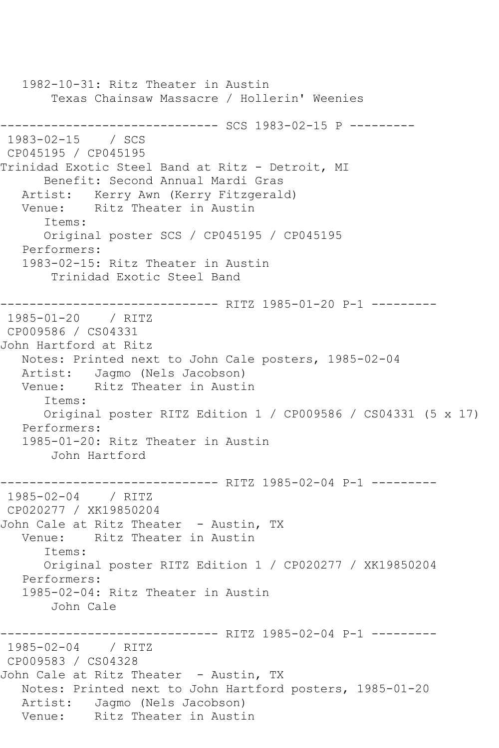1982-10-31: Ritz Theater in Austin Texas Chainsaw Massacre / Hollerin' Weenies ------------------------------ SCS 1983-02-15 P --------- 1983-02-15 / SCS CP045195 / CP045195 Trinidad Exotic Steel Band at Ritz - Detroit, MI Benefit: Second Annual Mardi Gras Artist: Kerry Awn (Kerry Fitzgerald) Venue: Ritz Theater in Austin Items: Original poster SCS / CP045195 / CP045195 Performers: 1983-02-15: Ritz Theater in Austin Trinidad Exotic Steel Band -------------- RITZ 1985-01-20 P-1 ---------1985-01-20 / RITZ CP009586 / CS04331 John Hartford at Ritz Notes: Printed next to John Cale posters, 1985-02-04 Artist: Jagmo (Nels Jacobson) Venue: Ritz Theater in Austin Items: Original poster RITZ Edition 1 / CP009586 / CS04331 (5 x 17) Performers: 1985-01-20: Ritz Theater in Austin John Hartford ------------------------------ RITZ 1985-02-04 P-1 --------- 1985-02-04 / RITZ CP020277 / XK19850204 John Cale at Ritz Theater - Austin, TX Venue: Ritz Theater in Austin Items: Original poster RITZ Edition 1 / CP020277 / XK19850204 Performers: 1985-02-04: Ritz Theater in Austin John Cale --------- RITZ 1985-02-04 P-1 ---------1985-02-04 / RITZ CP009583 / CS04328 John Cale at Ritz Theater - Austin, TX Notes: Printed next to John Hartford posters, 1985-01-20 Artist: Jagmo (Nels Jacobson)<br>Venue: Ritz Theater in Austi Ritz Theater in Austin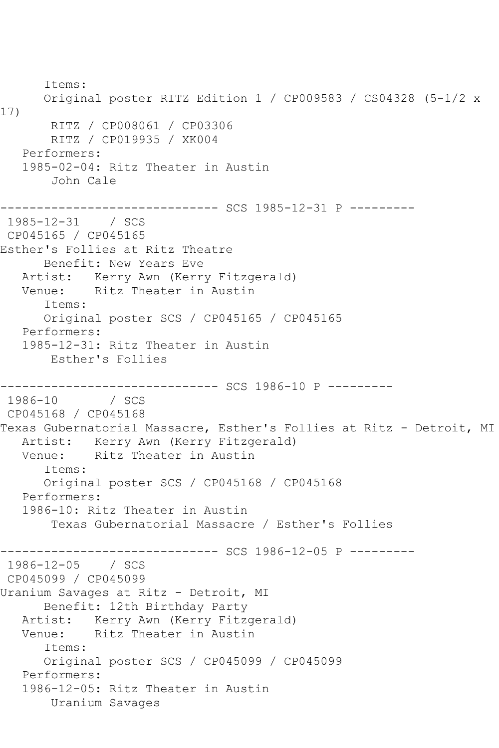Items: Original poster RITZ Edition 1 / CP009583 / CS04328 (5-1/2 x 17) RITZ / CP008061 / CP03306 RITZ / CP019935 / XK004 Performers: 1985-02-04: Ritz Theater in Austin John Cale ------------------------------ SCS 1985-12-31 P --------- 1985-12-31 / SCS CP045165 / CP045165 Esther's Follies at Ritz Theatre Benefit: New Years Eve Artist: Kerry Awn (Kerry Fitzgerald) Venue: Ritz Theater in Austin Items: Original poster SCS / CP045165 / CP045165 Performers: 1985-12-31: Ritz Theater in Austin Esther's Follies ------------------------------ SCS 1986-10 P ---------  $1986 - 10$ CP045168 / CP045168 Texas Gubernatorial Massacre, Esther's Follies at Ritz - Detroit, MI Artist: Kerry Awn (Kerry Fitzgerald) Venue: Ritz Theater in Austin Items: Original poster SCS / CP045168 / CP045168 Performers: 1986-10: Ritz Theater in Austin Texas Gubernatorial Massacre / Esther's Follies ---------- SCS 1986-12-05 P ----------1986-12-05 / SCS CP045099 / CP045099 Uranium Savages at Ritz - Detroit, MI Benefit: 12th Birthday Party Artist: Kerry Awn (Kerry Fitzgerald) Venue: Ritz Theater in Austin Items: Original poster SCS / CP045099 / CP045099 Performers: 1986-12-05: Ritz Theater in Austin Uranium Savages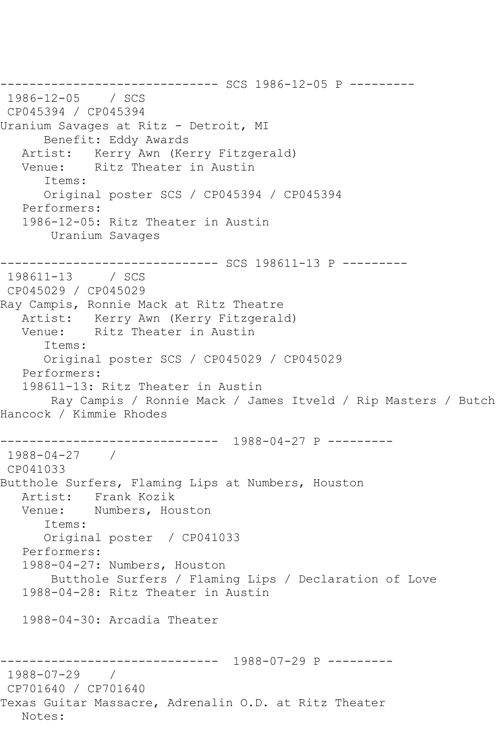------------------------------ SCS 1986-12-05 P --------- 1986-12-05 / SCS CP045394 / CP045394 Uranium Savages at Ritz - Detroit, MI Benefit: Eddy Awards<br>Artist: Kerry Awn (Ke Kerry Awn (Kerry Fitzgerald) Venue: Ritz Theater in Austin Items: Original poster SCS / CP045394 / CP045394 Performers: 1986-12-05: Ritz Theater in Austin Uranium Savages --------------------------------- SCS 198611-13 P ---------<br>198611-13 / SCS 198611-13 CP045029 / CP045029 Ray Campis, Ronnie Mack at Ritz Theatre Artist: Kerry Awn (Kerry Fitzgerald) Venue: Ritz Theater in Austin Items: Original poster SCS / CP045029 / CP045029 Performers: 198611-13: Ritz Theater in Austin Ray Campis / Ronnie Mack / James Itveld / Rip Masters / Butch Hancock / Kimmie Rhodes ------------------------------ 1988-04-27 P --------- 1988-04-27 / CP041033 Butthole Surfers, Flaming Lips at Numbers, Houston Artist: Frank Kozik Venue: Numbers, Houston Items: Original poster / CP041033 Performers: 1988-04-27: Numbers, Houston Butthole Surfers / Flaming Lips / Declaration of Love 1988-04-28: Ritz Theater in Austin 1988-04-30: Arcadia Theater ------------------------------ 1988-07-29 P --------- 1988-07-29 / CP701640 / CP701640 Texas Guitar Massacre, Adrenalin O.D. at Ritz Theater Notes: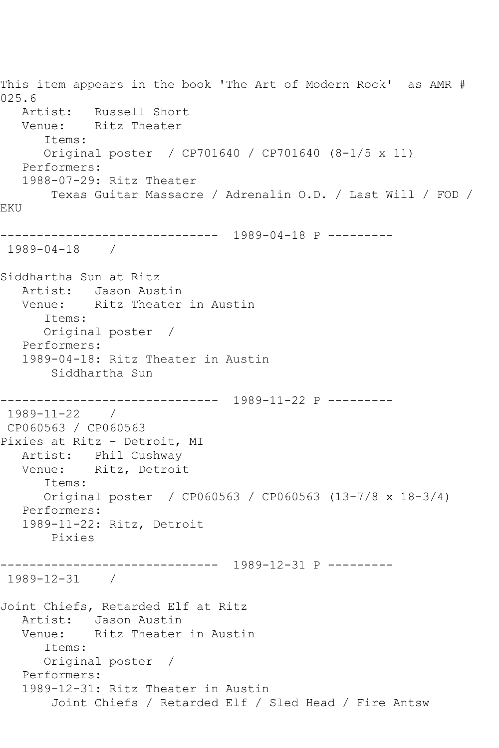This item appears in the book 'The Art of Modern Rock' as AMR # 025.6 Artist: Russell Short Venue: Ritz Theater Items: Original poster / CP701640 / CP701640 (8-1/5 x 11) Performers: 1988-07-29: Ritz Theater Texas Guitar Massacre / Adrenalin O.D. / Last Will / FOD / EKU ------------------------------ 1989-04-18 P --------- 1989-04-18 / Siddhartha Sun at Ritz Artist: Jason Austin Venue: Ritz Theater in Austin Items: Original poster / Performers: 1989-04-18: Ritz Theater in Austin Siddhartha Sun ------------------------------ 1989-11-22 P --------- 1989-11-22 / CP060563 / CP060563 Pixies at Ritz - Detroit, MI Artist: Phil Cushway Venue: Ritz, Detroit Items: Original poster / CP060563 / CP060563 (13-7/8 x 18-3/4) Performers: 1989-11-22: Ritz, Detroit Pixies ------------------------------ 1989-12-31 P --------- 1989-12-31 / Joint Chiefs, Retarded Elf at Ritz Artist: Jason Austin Venue: Ritz Theater in Austin Items: Original poster / Performers: 1989-12-31: Ritz Theater in Austin Joint Chiefs / Retarded Elf / Sled Head / Fire Antsw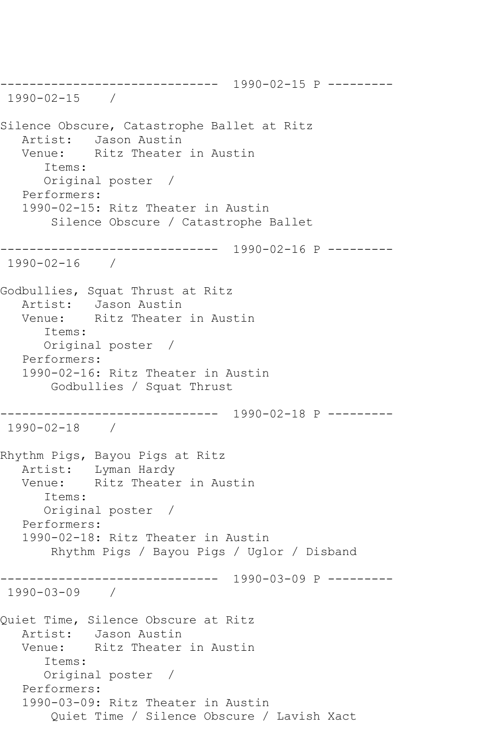------------------------------ 1990-02-15 P --------- 1990-02-15 / Silence Obscure, Catastrophe Ballet at Ritz Artist: Jason Austin Venue: Ritz Theater in Austin Items: Original poster / Performers: 1990-02-15: Ritz Theater in Austin Silence Obscure / Catastrophe Ballet ------------------------------ 1990-02-16 P --------- 1990-02-16 / Godbullies, Squat Thrust at Ritz Artist: Jason Austin Venue: Ritz Theater in Austin Items: Original poster / Performers: 1990-02-16: Ritz Theater in Austin Godbullies / Squat Thrust ------------------------------ 1990-02-18 P --------- 1990-02-18 / Rhythm Pigs, Bayou Pigs at Ritz Artist: Lyman Hardy Venue: Ritz Theater in Austin Items: Original poster / Performers: 1990-02-18: Ritz Theater in Austin Rhythm Pigs / Bayou Pigs / Uglor / Disband ------------------------------ 1990-03-09 P --------- 1990-03-09 / Quiet Time, Silence Obscure at Ritz Artist: Jason Austin Venue: Ritz Theater in Austin Items: Original poster / Performers: 1990-03-09: Ritz Theater in Austin Quiet Time / Silence Obscure / Lavish Xact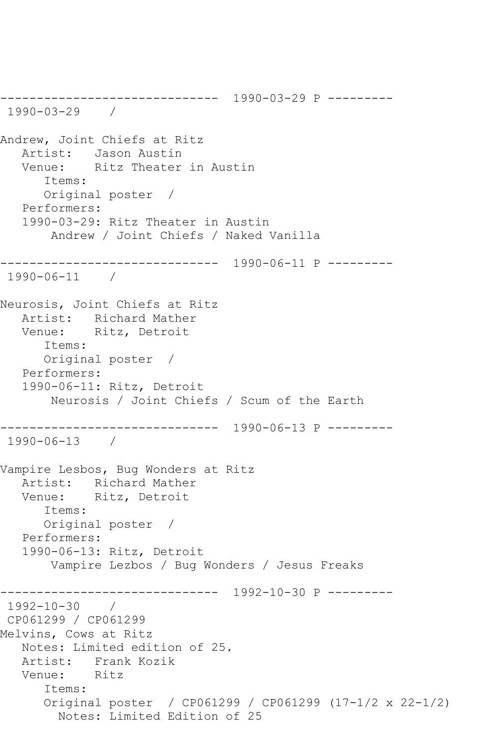------------------------------ 1990-03-29 P --------- 1990-03-29 / Andrew, Joint Chiefs at Ritz Artist: Jason Austin<br>Venue: Ritz Theater Ritz Theater in Austin Items: Original poster / Performers: 1990-03-29: Ritz Theater in Austin Andrew / Joint Chiefs / Naked Vanilla ------------------------------ 1990-06-11 P --------- 1990-06-11 / Neurosis, Joint Chiefs at Ritz Artist: Richard Mather Venue: Ritz, Detroit Items: Original poster / Performers: 1990-06-11: Ritz, Detroit Neurosis / Joint Chiefs / Scum of the Earth ------------------------------ 1990-06-13 P --------- 1990-06-13 / Vampire Lesbos, Bug Wonders at Ritz Artist: Richard Mather<br>Venue: Ritz, Detroit Ritz, Detroit Items: Original poster / Performers: 1990-06-13: Ritz, Detroit Vampire Lezbos / Bug Wonders / Jesus Freaks ------------------------------ 1992-10-30 P --------- 1992-10-30 / CP061299 / CP061299 Melvins, Cows at Ritz Notes: Limited edition of 25. Artist: Frank Kozik<br>Venue: Ritz Venue: Items: Original poster / CP061299 / CP061299 (17-1/2 x 22-1/2) Notes: Limited Edition of 25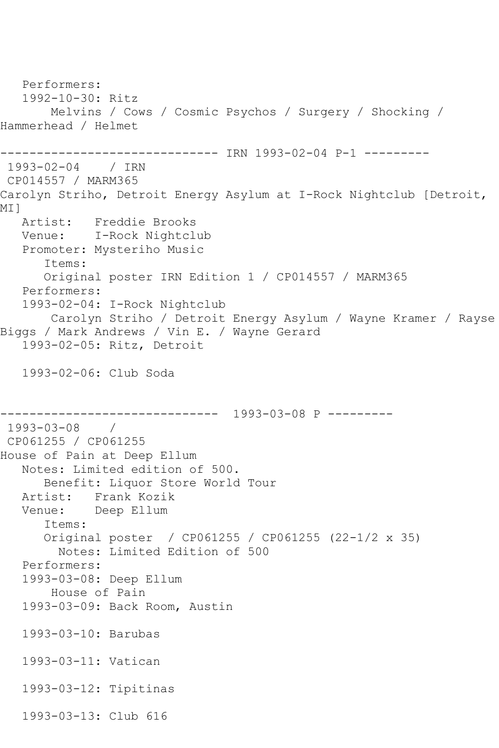```
 Performers:
    1992-10-30: Ritz
        Melvins / Cows / Cosmic Psychos / Surgery / Shocking / 
Hammerhead / Helmet
------------------------------ IRN 1993-02-04 P-1 ---------
1993-02-04 / IRN 
CP014557 / MARM365
Carolyn Striho, Detroit Energy Asylum at I-Rock Nightclub [Detroit, 
<code>MI</code> ]
   Artist: Freddie Brooks
   Venue: I-Rock Nightclub
   Promoter: Mysteriho Music
       Items:
       Original poster IRN Edition 1 / CP014557 / MARM365
    Performers:
    1993-02-04: I-Rock Nightclub
       Carolyn Striho / Detroit Energy Asylum / Wayne Kramer / Rayse 
Biggs / Mark Andrews / Vin E. / Wayne Gerard
    1993-02-05: Ritz, Detroit
    1993-02-06: Club Soda
                   ------------------------------ 1993-03-08 P ---------
1993-03-08 / 
CP061255 / CP061255
House of Pain at Deep Ellum
   Notes: Limited edition of 500.
       Benefit: Liquor Store World Tour
   Artist: Frank Kozik
   Venue: Deep Ellum
       Items:
       Original poster / CP061255 / CP061255 (22-1/2 x 35)
         Notes: Limited Edition of 500
    Performers:
    1993-03-08: Deep Ellum
        House of Pain
    1993-03-09: Back Room, Austin
    1993-03-10: Barubas
    1993-03-11: Vatican
    1993-03-12: Tipitinas
    1993-03-13: Club 616
```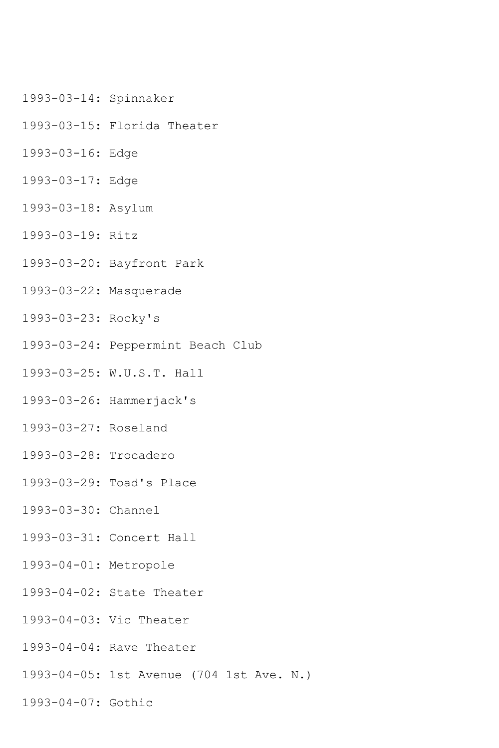- 1993-03-14: Spinnaker
- 1993-03-15: Florida Theater
- 1993-03-16: Edge
- 1993-03-17: Edge
- 1993-03-18: Asylum
- 1993-03-19: Ritz
- 1993-03-20: Bayfront Park
- 1993-03-22: Masquerade
- 1993-03-23: Rocky's
- 1993-03-24: Peppermint Beach Club
- 1993-03-25: W.U.S.T. Hall
- 1993-03-26: Hammerjack's
- 1993-03-27: Roseland
- 1993-03-28: Trocadero
- 1993-03-29: Toad's Place
- 1993-03-30: Channel
- 1993-03-31: Concert Hall
- 1993-04-01: Metropole
- 1993-04-02: State Theater
- 1993-04-03: Vic Theater
- 1993-04-04: Rave Theater
- 1993-04-05: 1st Avenue (704 1st Ave. N.)
- 1993-04-07: Gothic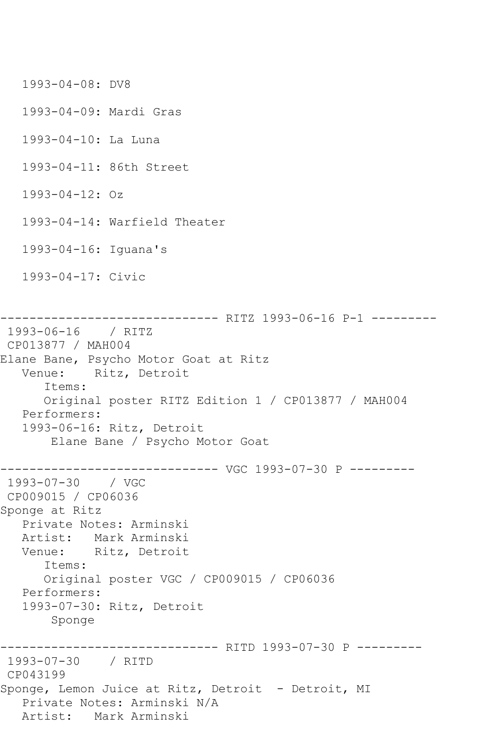1993-04-08: DV8 1993-04-09: Mardi Gras 1993-04-10: La Luna 1993-04-11: 86th Street 1993-04-12: Oz 1993-04-14: Warfield Theater 1993-04-16: Iguana's 1993-04-17: Civic ------------------------------ RITZ 1993-06-16 P-1 --------- 1993-06-16 / RITZ CP013877 / MAH004 Elane Bane, Psycho Motor Goat at Ritz Venue: Ritz, Detroit Items: Original poster RITZ Edition 1 / CP013877 / MAH004 Performers: 1993-06-16: Ritz, Detroit Elane Bane / Psycho Motor Goat ------------------------------ VGC 1993-07-30 P --------- 1993-07-30 / VGC CP009015 / CP06036 Sponge at Ritz Private Notes: Arminski Artist: Mark Arminski Venue: Ritz, Detroit Items: Original poster VGC / CP009015 / CP06036 Performers: 1993-07-30: Ritz, Detroit Sponge ------------------------------ RITD 1993-07-30 P --------- 1993-07-30 / RITD CP043199 Sponge, Lemon Juice at Ritz, Detroit - Detroit, MI Private Notes: Arminski N/A Artist: Mark Arminski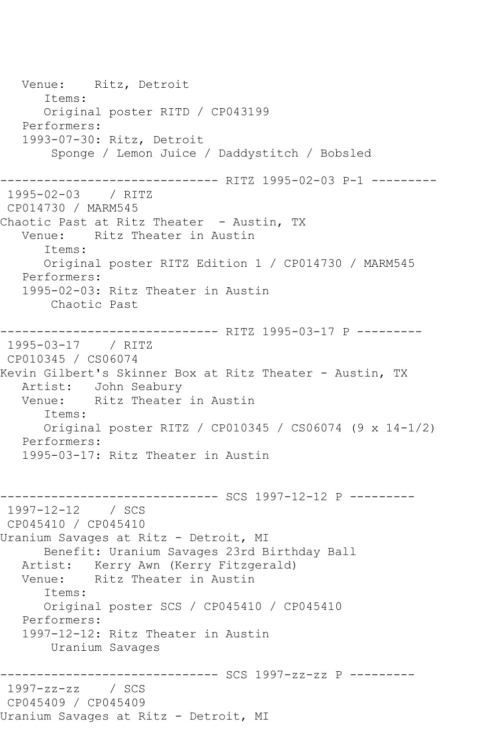Venue: Ritz, Detroit Items: Original poster RITD / CP043199 Performers: 1993-07-30: Ritz, Detroit Sponge / Lemon Juice / Daddystitch / Bobsled ------------------------------ RITZ 1995-02-03 P-1 --------- 1995-02-03 / RITZ CP014730 / MARM545 Chaotic Past at Ritz Theater - Austin, TX Venue: Ritz Theater in Austin Items: Original poster RITZ Edition 1 / CP014730 / MARM545 Performers: 1995-02-03: Ritz Theater in Austin Chaotic Past ------------------------------ RITZ 1995-03-17 P --------- 1995-03-17 / RITZ CP010345 / CS06074 Kevin Gilbert's Skinner Box at Ritz Theater - Austin, TX Artist: John Seabury<br>Venue: Ritz Theater Ritz Theater in Austin Items: Original poster RITZ / CP010345 / CS06074 (9 x 14-1/2) Performers: 1995-03-17: Ritz Theater in Austin ------------------------------ SCS 1997-12-12 P --------- 1997-12-12 / SCS CP045410 / CP045410 Uranium Savages at Ritz - Detroit, MI Benefit: Uranium Savages 23rd Birthday Ball Artist: Kerry Awn (Kerry Fitzgerald)<br>Venue: Ritz Theater in Austin Ritz Theater in Austin Items: Original poster SCS / CP045410 / CP045410 Performers: 1997-12-12: Ritz Theater in Austin Uranium Savages ------------------------------ SCS 1997-zz-zz P --------- 1997-zz-zz / SCS CP045409 / CP045409 Uranium Savages at Ritz - Detroit, MI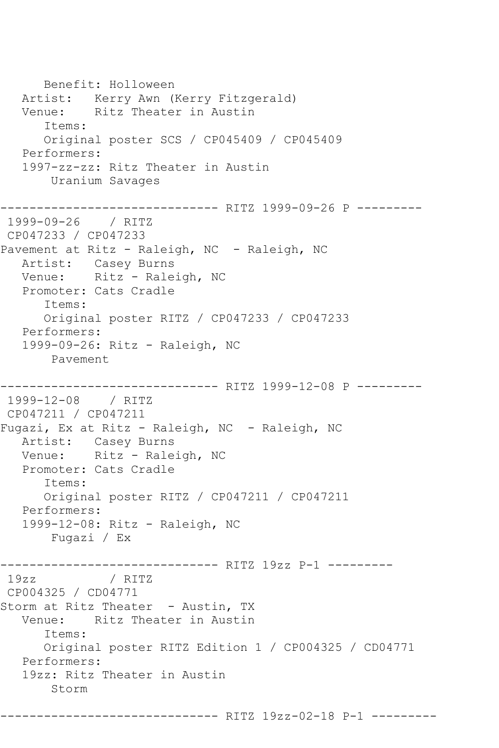Benefit: Holloween Artist: Kerry Awn (Kerry Fitzgerald) Venue: Ritz Theater in Austin Items: Original poster SCS / CP045409 / CP045409 Performers: 1997-zz-zz: Ritz Theater in Austin Uranium Savages ------------------------------ RITZ 1999-09-26 P --------- 1999-09-26 / RITZ CP047233 / CP047233 Pavement at Ritz - Raleigh, NC - Raleigh, NC Artist: Casey Burns Venue: Ritz - Raleigh, NC Promoter: Cats Cradle Items: Original poster RITZ / CP047233 / CP047233 Performers: 1999-09-26: Ritz - Raleigh, NC Pavement ------------------------------ RITZ 1999-12-08 P --------- 1999-12-08 / RITZ CP047211 / CP047211 Fugazi, Ex at Ritz - Raleigh, NC - Raleigh, NC Artist: Casey Burns Venue: Ritz - Raleigh, NC Promoter: Cats Cradle Items: Original poster RITZ / CP047211 / CP047211 Performers: 1999-12-08: Ritz - Raleigh, NC Fugazi / Ex ------------------------------ RITZ 19zz P-1 --------- 19zz / RITZ CP004325 / CD04771 Storm at Ritz Theater - Austin, TX Venue: Ritz Theater in Austin Items: Original poster RITZ Edition 1 / CP004325 / CD04771 Performers: 19zz: Ritz Theater in Austin Storm

------------------------------ RITZ 19zz-02-18 P-1 ---------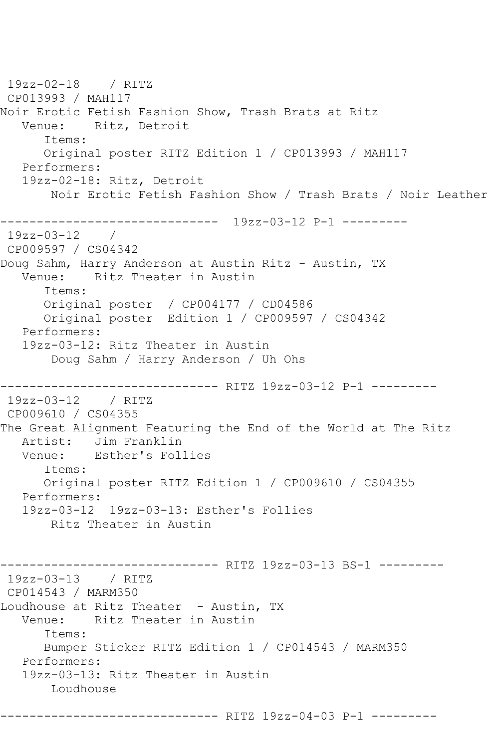19zz-02-18 / RITZ CP013993 / MAH117 Noir Erotic Fetish Fashion Show, Trash Brats at Ritz Venue: Ritz, Detroit Items: Original poster RITZ Edition 1 / CP013993 / MAH117 Performers: 19zz-02-18: Ritz, Detroit Noir Erotic Fetish Fashion Show / Trash Brats / Noir Leather ------------------------------ 19zz-03-12 P-1 --------- 19zz-03-12 / CP009597 / CS04342 Doug Sahm, Harry Anderson at Austin Ritz - Austin, TX Venue: Ritz Theater in Austin Items: Original poster / CP004177 / CD04586 Original poster Edition 1 / CP009597 / CS04342 Performers: 19zz-03-12: Ritz Theater in Austin Doug Sahm / Harry Anderson / Uh Ohs ------------------------------ RITZ 19zz-03-12 P-1 --------- 19zz-03-12 / RITZ CP009610 / CS04355 The Great Alignment Featuring the End of the World at The Ritz Artist: Jim Franklin<br>Venue: Esther's Fol Esther's Follies Items: Original poster RITZ Edition 1 / CP009610 / CS04355 Performers: 19zz-03-12 19zz-03-13: Esther's Follies Ritz Theater in Austin ------------------------------ RITZ 19zz-03-13 BS-1 --------- 19zz-03-13 / RITZ CP014543 / MARM350 Loudhouse at Ritz Theater - Austin, TX Venue: Ritz Theater in Austin Items: Bumper Sticker RITZ Edition 1 / CP014543 / MARM350 Performers: 19zz-03-13: Ritz Theater in Austin Loudhouse ------------------------------ RITZ 19zz-04-03 P-1 ---------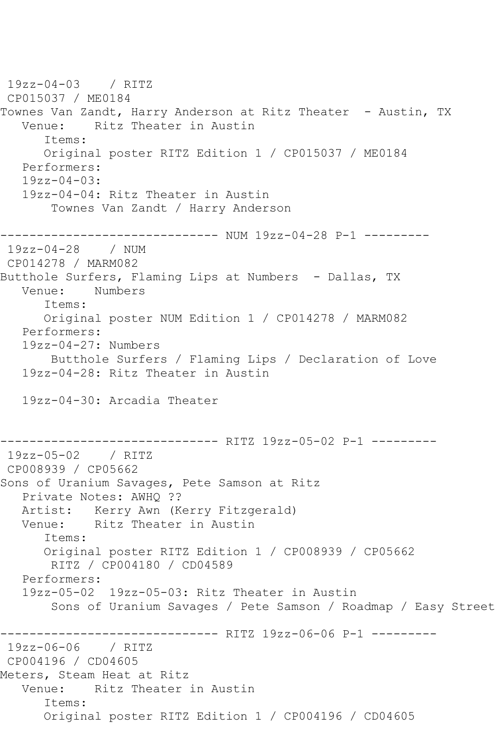19zz-04-03 / RITZ CP015037 / ME0184 Townes Van Zandt, Harry Anderson at Ritz Theater - Austin, TX Venue: Ritz Theater in Austin Items: Original poster RITZ Edition 1 / CP015037 / ME0184 Performers: 19zz-04-03: 19zz-04-04: Ritz Theater in Austin Townes Van Zandt / Harry Anderson ------------------------------ NUM 19zz-04-28 P-1 --------- 19zz-04-28 / NUM CP014278 / MARM082 Butthole Surfers, Flaming Lips at Numbers - Dallas, TX Venue: Numbers Items: Original poster NUM Edition 1 / CP014278 / MARM082 Performers: 19zz-04-27: Numbers Butthole Surfers / Flaming Lips / Declaration of Love 19zz-04-28: Ritz Theater in Austin 19zz-04-30: Arcadia Theater ------------------------------ RITZ 19zz-05-02 P-1 --------- 19zz-05-02 / RITZ CP008939 / CP05662 Sons of Uranium Savages, Pete Samson at Ritz Private Notes: AWHQ ?? Artist: Kerry Awn (Kerry Fitzgerald) Venue: Ritz Theater in Austin Items: Original poster RITZ Edition 1 / CP008939 / CP05662 RITZ / CP004180 / CD04589 Performers: 19zz-05-02 19zz-05-03: Ritz Theater in Austin Sons of Uranium Savages / Pete Samson / Roadmap / Easy Street ------------ RITZ 19zz-06-06 P-1 ---------19zz-06-06 / RITZ CP004196 / CD04605 Meters, Steam Heat at Ritz Venue: Ritz Theater in Austin Items: Original poster RITZ Edition 1 / CP004196 / CD04605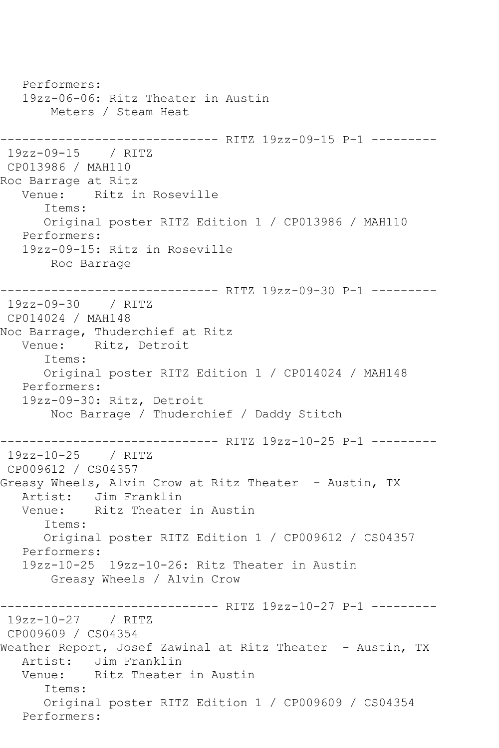Performers: 19zz-06-06: Ritz Theater in Austin Meters / Steam Heat ------------------------------ RITZ 19zz-09-15 P-1 --------- 19zz-09-15 / RITZ CP013986 / MAH110 Roc Barrage at Ritz Venue: Ritz in Roseville Items: Original poster RITZ Edition 1 / CP013986 / MAH110 Performers: 19zz-09-15: Ritz in Roseville Roc Barrage ------------------------------ RITZ 19zz-09-30 P-1 --------- 19zz-09-30 / RITZ CP014024 / MAH148 Noc Barrage, Thuderchief at Ritz Venue: Ritz, Detroit Items: Original poster RITZ Edition 1 / CP014024 / MAH148 Performers: 19zz-09-30: Ritz, Detroit Noc Barrage / Thuderchief / Daddy Stitch ------------------------------ RITZ 19zz-10-25 P-1 --------- 19zz-10-25 / RITZ CP009612 / CS04357 Greasy Wheels, Alvin Crow at Ritz Theater - Austin, TX Artist: Jim Franklin<br>Venue: Ritz Theater Ritz Theater in Austin Items: Original poster RITZ Edition 1 / CP009612 / CS04357 Performers: 19zz-10-25 19zz-10-26: Ritz Theater in Austin Greasy Wheels / Alvin Crow ------------------------------ RITZ 19zz-10-27 P-1 --------- 19zz-10-27 / RITZ CP009609 / CS04354 Weather Report, Josef Zawinal at Ritz Theater - Austin, TX Artist: Jim Franklin<br>Venue: Ritz Theater Ritz Theater in Austin Items: Original poster RITZ Edition 1 / CP009609 / CS04354 Performers: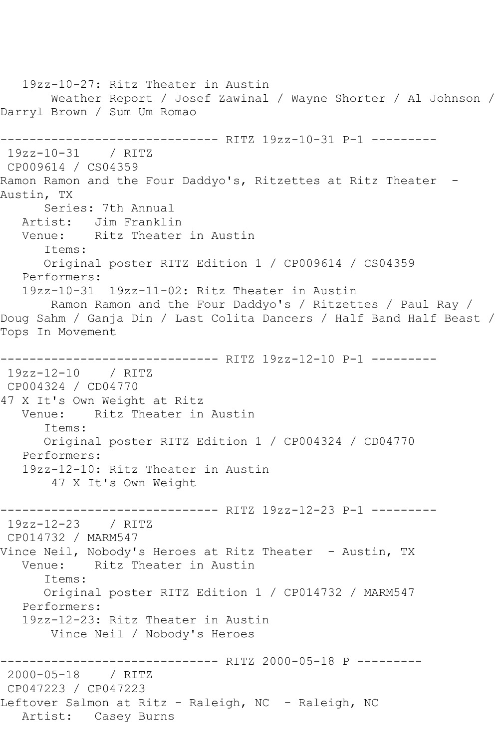19zz-10-27: Ritz Theater in Austin Weather Report / Josef Zawinal / Wayne Shorter / Al Johnson / Darryl Brown / Sum Um Romao ------------------------------ RITZ 19zz-10-31 P-1 --------- 19zz-10-31 / RITZ CP009614 / CS04359 Ramon Ramon and the Four Daddyo's, Ritzettes at Ritz Theater -Austin, TX Series: 7th Annual Artist: Jim Franklin Venue: Ritz Theater in Austin Items: Original poster RITZ Edition 1 / CP009614 / CS04359 Performers: 19zz-10-31 19zz-11-02: Ritz Theater in Austin Ramon Ramon and the Four Daddyo's / Ritzettes / Paul Ray / Doug Sahm / Ganja Din / Last Colita Dancers / Half Band Half Beast / Tops In Movement ------------------------------ RITZ 19zz-12-10 P-1 --------- 19zz-12-10 / RITZ CP004324 / CD04770 47 X It's Own Weight at Ritz Venue: Ritz Theater in Austin Items: Original poster RITZ Edition 1 / CP004324 / CD04770 Performers: 19zz-12-10: Ritz Theater in Austin 47 X It's Own Weight ------------------------------ RITZ 19zz-12-23 P-1 --------- 19zz-12-23 / RITZ CP014732 / MARM547 Vince Neil, Nobody's Heroes at Ritz Theater - Austin, TX Venue: Ritz Theater in Austin Items: Original poster RITZ Edition 1 / CP014732 / MARM547 Performers: 19zz-12-23: Ritz Theater in Austin Vince Neil / Nobody's Heroes ------------------------------ RITZ 2000-05-18 P --------- 2000-05-18 / RITZ CP047223 / CP047223 Leftover Salmon at Ritz - Raleigh, NC - Raleigh, NC Artist: Casey Burns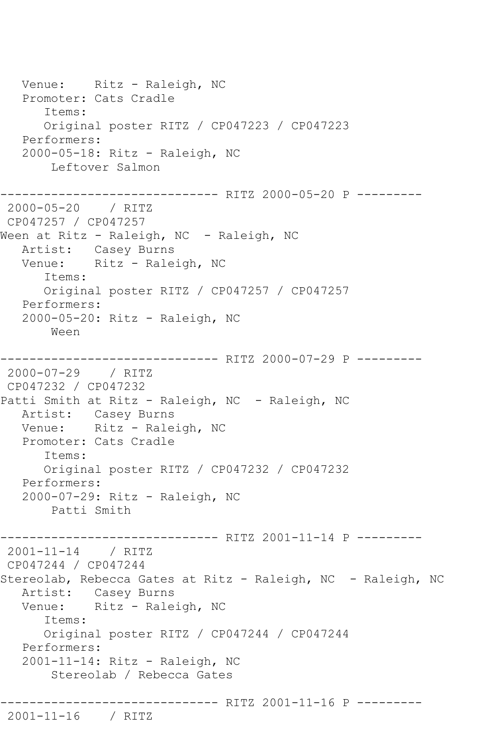Venue: Ritz - Raleigh, NC Promoter: Cats Cradle Items: Original poster RITZ / CP047223 / CP047223 Performers: 2000-05-18: Ritz - Raleigh, NC Leftover Salmon ------------------------------ RITZ 2000-05-20 P --------- 2000-05-20 / RITZ CP047257 / CP047257 Ween at Ritz - Raleigh, NC - Raleigh, NC Artist: Casey Burns Venue: Ritz - Raleigh, NC Items: Original poster RITZ / CP047257 / CP047257 Performers: 2000-05-20: Ritz - Raleigh, NC Ween ------------------------------ RITZ 2000-07-29 P --------- 2000-07-29 / RITZ CP047232 / CP047232 Patti Smith at Ritz - Raleigh, NC - Raleigh, NC Artist: Casey Burns Venue: Ritz - Raleigh, NC Promoter: Cats Cradle Items: Original poster RITZ / CP047232 / CP047232 Performers: 2000-07-29: Ritz - Raleigh, NC Patti Smith ------------------------------ RITZ 2001-11-14 P --------- 2001-11-14 / RITZ CP047244 / CP047244 Stereolab, Rebecca Gates at Ritz - Raleigh, NC - Raleigh, NC Artist: Casey Burns Venue: Ritz - Raleigh, NC Items: Original poster RITZ / CP047244 / CP047244 Performers: 2001-11-14: Ritz - Raleigh, NC Stereolab / Rebecca Gates ------------------------------ RITZ 2001-11-16 P --------- 2001-11-16 / RITZ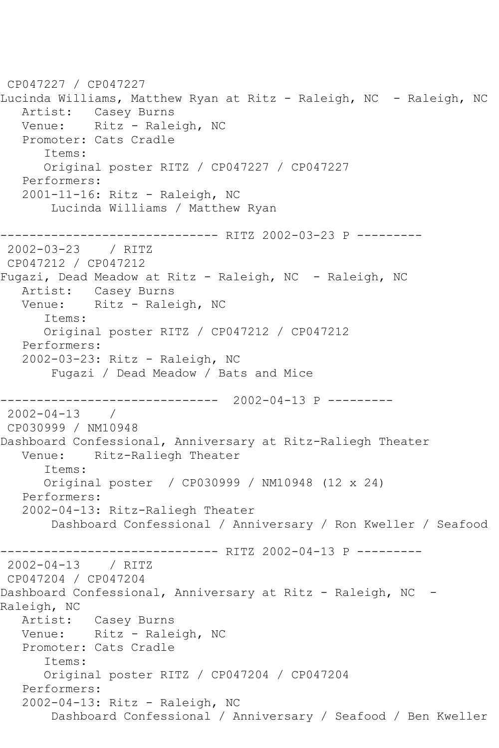```
CP047227 / CP047227
Lucinda Williams, Matthew Ryan at Ritz - Raleigh, NC - Raleigh, NC
   Artist: Casey Burns
  Venue: Ritz - Raleigh, NC
   Promoter: Cats Cradle
       Items:
       Original poster RITZ / CP047227 / CP047227
   Performers:
    2001-11-16: Ritz - Raleigh, NC
        Lucinda Williams / Matthew Ryan
         ---------------------- RITZ 2002-03-23 P ---------<br>-23    / RITZ
2002 - 03 - 23CP047212 / CP047212
Fugazi, Dead Meadow at Ritz - Raleigh, NC - Raleigh, NC
   Artist: Casey Burns
  Venue: Ritz - Raleigh, NC
       Items:
       Original poster RITZ / CP047212 / CP047212
   Performers:
    2002-03-23: Ritz - Raleigh, NC
        Fugazi / Dead Meadow / Bats and Mice
------------------------------ 2002-04-13 P ---------
2002-04-13 / 
CP030999 / NM10948
Dashboard Confessional, Anniversary at Ritz-Raliegh Theater
   Venue: Ritz-Raliegh Theater
       Items:
       Original poster / CP030999 / NM10948 (12 x 24)
   Performers:
    2002-04-13: Ritz-Raliegh Theater
        Dashboard Confessional / Anniversary / Ron Kweller / Seafood
                      ------------------------------ RITZ 2002-04-13 P ---------
2002-04-13 / RITZ 
CP047204 / CP047204
Dashboard Confessional, Anniversary at Ritz - Raleigh, NC -
Raleigh, NC<br>Artist:
            Casey Burns
  Venue: Ritz - Raleigh, NC
   Promoter: Cats Cradle
       Items:
       Original poster RITZ / CP047204 / CP047204
    Performers:
    2002-04-13: Ritz - Raleigh, NC
        Dashboard Confessional / Anniversary / Seafood / Ben Kweller
```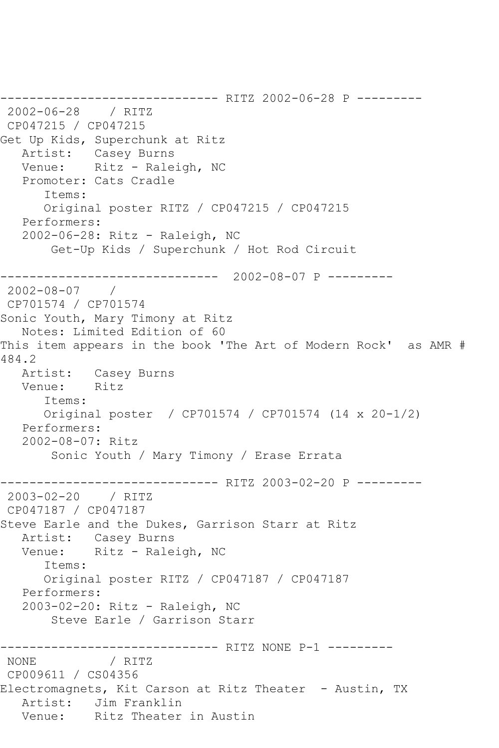------------------------------ RITZ 2002-06-28 P --------- 2002-06-28 / RITZ CP047215 / CP047215 Get Up Kids, Superchunk at Ritz Artist: Casey Burns Venue: Ritz - Raleigh, NC Promoter: Cats Cradle Items: Original poster RITZ / CP047215 / CP047215 Performers: 2002-06-28: Ritz - Raleigh, NC Get-Up Kids / Superchunk / Hot Rod Circuit ------------------------------ 2002-08-07 P --------- 2002-08-07 / CP701574 / CP701574 Sonic Youth, Mary Timony at Ritz Notes: Limited Edition of 60 This item appears in the book 'The Art of Modern Rock' as AMR # 484.2 Artist: Casey Burns Venue: Ritz Items: Original poster / CP701574 / CP701574 (14 x 20-1/2) Performers: 2002-08-07: Ritz Sonic Youth / Mary Timony / Erase Errata \_\_\_\_\_\_\_\_\_\_\_\_\_\_ ---------------- RITZ 2003-02-20 P ---------<br>/ RITZ  $2003 - 02 - 20$ CP047187 / CP047187 Steve Earle and the Dukes, Garrison Starr at Ritz Artist: Casey Burns Venue: Ritz - Raleigh, NC Items: Original poster RITZ / CP047187 / CP047187 Performers: 2003-02-20: Ritz - Raleigh, NC Steve Earle / Garrison Starr --------------------------------- RITZ NONE P-1 ---------<br>NONE / RITZ / RITZ CP009611 / CS04356 Electromagnets, Kit Carson at Ritz Theater - Austin, TX Artist: Jim Franklin Venue: Ritz Theater in Austin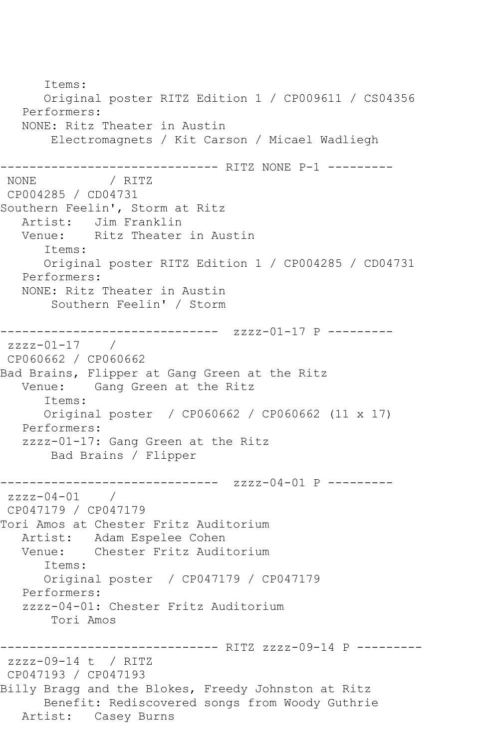Items: Original poster RITZ Edition 1 / CP009611 / CS04356 Performers: NONE: Ritz Theater in Austin Electromagnets / Kit Carson / Micael Wadliegh ------------------------------ RITZ NONE P-1 --------- NONE / RITZ CP004285 / CD04731 Southern Feelin', Storm at Ritz Artist: Jim Franklin<br>Venue: Ritz Theater Ritz Theater in Austin Items: Original poster RITZ Edition 1 / CP004285 / CD04731 Performers: NONE: Ritz Theater in Austin Southern Feelin' / Storm ------------------------------ zzzz-01-17 P -------- zzzz-01-17 / CP060662 / CP060662 Bad Brains, Flipper at Gang Green at the Ritz Venue: Gang Green at the Ritz Items: Original poster / CP060662 / CP060662 (11 x 17) Performers: zzzz-01-17: Gang Green at the Ritz Bad Brains / Flipper ------------------------------ zzzz-04-01 P -------- zzzz-04-01 / CP047179 / CP047179 Tori Amos at Chester Fritz Auditorium Artist: Adam Espelee Cohen Venue: Chester Fritz Auditorium Items: Original poster / CP047179 / CP047179 Performers: zzzz-04-01: Chester Fritz Auditorium Tori Amos ------------------------------ RITZ zzzz-09-14 P -------- zzzz-09-14 t / RITZ CP047193 / CP047193 Billy Bragg and the Blokes, Freedy Johnston at Ritz Benefit: Rediscovered songs from Woody Guthrie Artist: Casey Burns